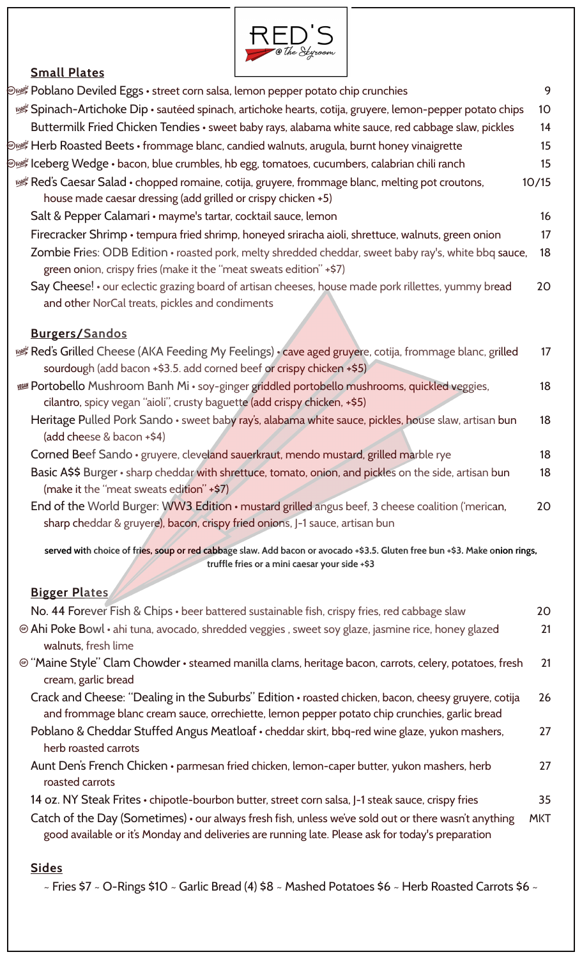

## **Small Plates**

| @ Poblano Deviled Eggs • street corn salsa, lemon pepper potato chip crunchies                                                                                                                            | 9          |
|-----------------------------------------------------------------------------------------------------------------------------------------------------------------------------------------------------------|------------|
| Spinach-Artichoke Dip • sautéed spinach, artichoke hearts, cotija, gruyere, lemon-pepper potato chips                                                                                                     | 10         |
| Buttermilk Fried Chicken Tendies • sweet baby rays, alabama white sauce, red cabbage slaw, pickles                                                                                                        | 14         |
| Dust Herb Roasted Beets • frommage blanc, candied walnuts, arugula, burnt honey vinaigrette                                                                                                               | 15         |
| lieberg Wedge • bacon, blue crumbles, hb egg, tomatoes, cucumbers, calabrian chili ranch ﷺ                                                                                                                | 15         |
| Red's Caesar Salad • chopped romaine, cotija, gruyere, frommage blanc, melting pot croutons,<br>house made caesar dressing (add grilled or crispy chicken +5)                                             | 10/15      |
| Salt & Pepper Calamari • mayme's tartar, cocktail sauce, lemon                                                                                                                                            | 16         |
| Firecracker Shrimp • tempura fried shrimp, honeyed sriracha aioli, shrettuce, walnuts, green onion                                                                                                        | 17         |
| Zombie Fries: ODB Edition • roasted pork, melty shredded cheddar, sweet baby ray's, white bbq sauce,<br>green onion, crispy fries (make it the "meat sweats edition" +\$7)                                | 18         |
| Say Cheese! • our eclectic grazing board of artisan cheeses, house made pork rillettes, yummy bread<br>and other NorCal treats, pickles and condiments                                                    | 20         |
| <b>Burgers/Sandos</b>                                                                                                                                                                                     |            |
| Red's Grilled Cheese (AKA Feeding My Feelings) • cave aged gruyere, cotija, frommage blanc, grilled للصلا<br>sourdough (add bacon +\$3.5. add corned beef or crispy chicken +\$5)                         | 17         |
| <b>Portobello Mushroom Banh Mi · soy-ginger griddled portobello mushrooms, quickled veggies,</b><br>cilantro, spicy vegan "aioli", crusty baguette (add crispy chicken, +\$5)                             | 18         |
| Heritage Pulled Pork Sando · sweet baby ray's, alabama white sauce, pickles, house slaw, artisan bun<br>(add cheese & bacon +\$4)                                                                         | 18         |
| Corned Beef Sando · gruyere, cleveland sauerkraut, mendo mustard, grilled marble rye                                                                                                                      | 18         |
| Basic A\$\$ Burger · sharp cheddar with shrettuce, tomato, onion, and pickles on the side, artisan bun<br>(make it the "meat sweats edition" +\$7)                                                        | 18         |
| End of the World Burger: WW3 Edition • mustard grilled angus beef, 3 cheese coalition ('merican,<br>sharp cheddar & gruyere), bacon, crispy fried onions, J-1 sauce, artisan bun                          | 20         |
| served with choice of fries, soup or red cabbage slaw. Add bacon or avocado +\$3.5. Gluten free bun +\$3. Make onion rings,<br>truffle fries or a mini caesar your side +\$3                              |            |
| <b>Bigger Plates</b>                                                                                                                                                                                      |            |
| No. 44 Forever Fish & Chips · beer battered sustainable fish, crispy fries, red cabbage slaw                                                                                                              | 20         |
| <b>Ahi Poke Bowl</b> • ahi tuna, avocado, shredded veggies, sweet soy glaze, jasmine rice, honey glazed                                                                                                   | 21         |
| walnuts, fresh lime                                                                                                                                                                                       |            |
| @ "Maine Style" Clam Chowder • steamed manilla clams, heritage bacon, carrots, celery, potatoes, fresh<br>cream, garlic bread                                                                             | 21         |
| Crack and Cheese: "Dealing in the Suburbs" Edition • roasted chicken, bacon, cheesy gruyere, cotija<br>and frommage blanc cream sauce, orrechiette, lemon pepper potato chip crunchies, garlic bread      | 26         |
| Poblano & Cheddar Stuffed Angus Meatloaf • cheddar skirt, bbq-red wine glaze, yukon mashers,<br>herb roasted carrots                                                                                      | 27         |
| Aunt Den's French Chicken • parmesan fried chicken, lemon-caper butter, yukon mashers, herb<br>roasted carrots                                                                                            | 27         |
| 14 oz. NY Steak Frites • chipotle-bourbon butter, street corn salsa, J-1 steak sauce, crispy fries                                                                                                        | 35         |
| Catch of the Day (Sometimes) • our always fresh fish, unless we've sold out or there wasn't anything<br>good available or it's Monday and deliveries are running late. Please ask for today's preparation | <b>MKT</b> |
| <b>Sides</b><br>~ Fries \$7 ~ O-Rings \$10 ~ Garlic Bread (4) \$8 ~ Mashed Potatoes \$6 ~ Herb Roasted Carrots \$6 ~                                                                                      |            |